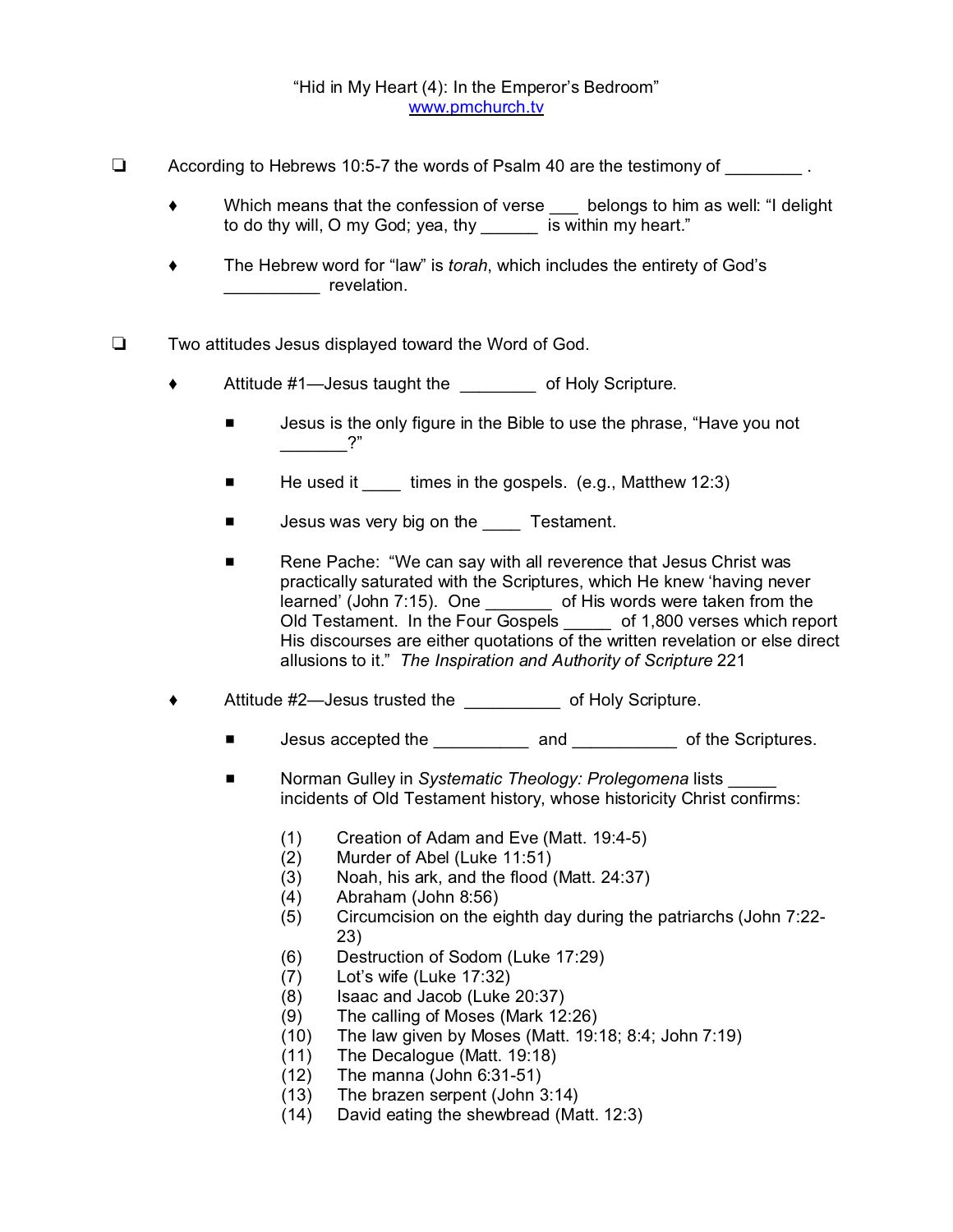## "Hid in My Heart (4): In the Emperor's Bedroom" www.pmchurch.tv

- $\Box$  According to Hebrews 10:5-7 the words of Psalm 40 are the testimony of  $\Box$ 
	- Which means that the confession of verse \_\_\_ belongs to him as well: "I delight to do thy will, O my God; yea, thy is within my heart."
	- The Hebrew word for "law" is *torah*, which includes the entirety of God's \_\_\_\_\_\_\_\_\_\_ revelation.
- $\Box$  Two attitudes Jesus displayed toward the Word of God.
	- ◆ Attitude #1—Jesus taught the of Holy Scripture.
		- **EXECT** Jesus is the only figure in the Bible to use the phrase, "Have you not  $\sim$  2"
		- He used it times in the gospels. (e.g., Matthew 12:3)
		- **E** Jesus was very big on the Testament.
		- **EXECO PACHED**: "We can say with all reverence that Jesus Christ was practically saturated with the Scriptures, which He knew 'having never learned' (John 7:15). One \_\_\_\_\_\_\_ of His words were taken from the Old Testament. In the Four Gospels \_\_\_\_\_ of 1,800 verses which report His discourses are either quotations of the written revelation or else direct allusions to it." *The Inspiration and Authority of Scripture* 221
	- Attitude #2—Jesus trusted the density of Holy Scripture.
		- Jesus accepted the \_\_\_\_\_\_\_\_\_\_\_\_ and \_\_\_\_\_\_\_\_\_\_\_\_\_\_ of the Scriptures.
		- Norman Gulley in *Systematic Theology: Prolegomena* lists incidents of Old Testament history, whose historicity Christ confirms:
			- (1) Creation of Adam and Eve (Matt. 19:4-5)
			- (2) Murder of Abel (Luke 11:51)
			- (3) Noah, his ark, and the flood (Matt. 24:37)
			- (4) Abraham (John 8:56)
			- (5) Circumcision on the eighth day during the patriarchs (John 7:22- 23)
			- (6) Destruction of Sodom (Luke 17:29)
			- (7) Lot's wife (Luke 17:32)
			- (8) Isaac and Jacob (Luke 20:37)
			- (9) The calling of Moses (Mark 12:26)
			- (10) The law given by Moses (Matt. 19:18; 8:4; John 7:19)
			- (11) The Decalogue (Matt. 19:18)
			- (12) The manna (John 6:31-51)
			- (13) The brazen serpent (John 3:14)
			- (14) David eating the shewbread (Matt. 12:3)